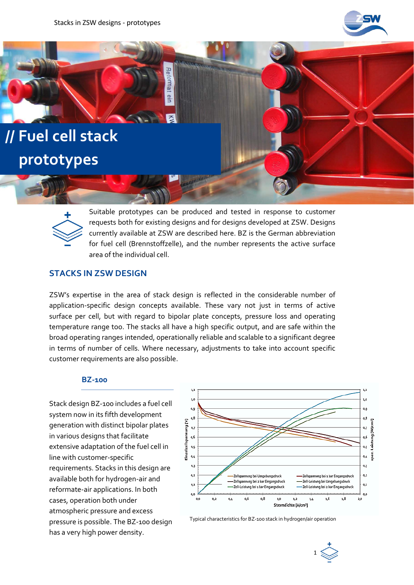Reformat

eln



# **// Fuel cell stack prototypes**



Suitable prototypes can be produced and tested in response to customer requests both for existing designs and for designs developed at ZSW. Designs currently available at ZSW are described here. BZ is the German abbreviation for fuel cell (Brennstoffzelle), and the number represents the active surface area of the individual cell.

## **STACKS IN ZSW DESIGN**

ZSW's expertise in the area of stack design is reflected in the considerable number of application-specific design concepts available. These vary not just in terms of active surface per cell, but with regard to bipolar plate concepts, pressure loss and operating temperature range too. The stacks all have a high specific output, and are safe within the broad operating ranges intended, operationally reliable and scalable to a significant degree in terms of number of cells. Where necessary, adjustments to take into account specific customer requirements are also possible.

### **BZ-100**

Stack design BZ-100 includes a fuel cell system now in its fifth development generation with distinct bipolar plates in various designs that facilitate extensive adaptation of the fuel cell in line with customer-specific requirements. Stacks in this design are available both for hydrogen-air and reformate-air applications. In both cases, operation both under atmospheric pressure and excess pressure is possible. The BZ-100 design has a very high power density.



Typical characteristics for BZ-100 stack in hydrogen/air operation